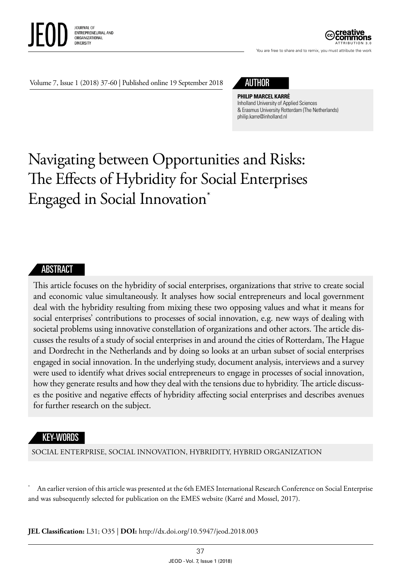

ATTRIBUTION 3.0

You are free to share and to remix, you must attribute the work

Volume 7, Issue 1 (2018) 37-60 | Published online 19 September 2018



**PHILIP MARCEL KARRÉ** Inholland University of Applied Sciences & Erasmus University Rotterdam (The Netherlands) [philip.karre@inholland.nl](mailto:philip.karre@inholland.nl)

# Navigating between Opportunities and Risks: The Effects of Hybridity for Social Enterprises Engaged in Social Innovation\*

#### **ABSTRACT**

This article focuses on the hybridity of social enterprises, organizations that strive to create social and economic value simultaneously. It analyses how social entrepreneurs and local government deal with the hybridity resulting from mixing these two opposing values and what it means for social enterprises' contributions to processes of social innovation, e.g. new ways of dealing with societal problems using innovative constellation of organizations and other actors. The article discusses the results of a study of social enterprises in and around the cities of Rotterdam, The Hague and Dordrecht in the Netherlands and by doing so looks at an urban subset of social enterprises engaged in social innovation. In the underlying study, document analysis, interviews and a survey were used to identify what drives social entrepreneurs to engage in processes of social innovation, how they generate results and how they deal with the tensions due to hybridity. The article discusses the positive and negative effects of hybridity affecting social enterprises and describes avenues for further research on the subject.

#### KEY-WORDS

SOCIAL ENTERPRISE, SOCIAL INNOVATION, HYBRIDITY, HYBRID ORGANIZATION

An earlier version of this article was presented at the 6th EMES International Research Conference on Social Enterprise and was subsequently selected for publication on the EMES website (Karré and Mossel, 2017).

**JEL Classification:** L31; O35 | **DOI:** http://dx.doi.org/10.5947/jeod.2018.003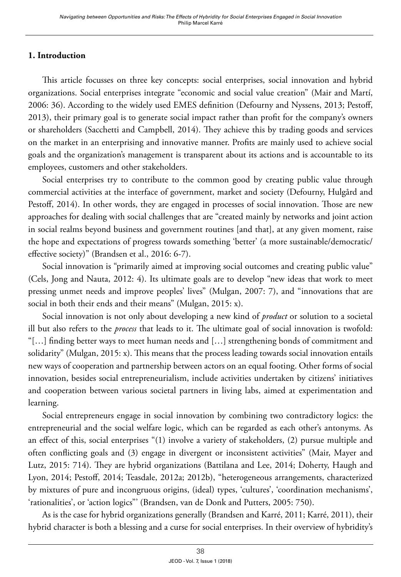## **1. Introduction**

This article focusses on three key concepts: social enterprises, social innovation and hybrid organizations. Social enterprises integrate "economic and social value creation" (Mair and Martí, 2006: 36). According to the widely used EMES definition (Defourny and Nyssens, 2013; Pestoff, 2013), their primary goal is to generate social impact rather than profit for the company's owners or shareholders (Sacchetti and Campbell, 2014). They achieve this by trading goods and services on the market in an enterprising and innovative manner. Profits are mainly used to achieve social goals and the organization's management is transparent about its actions and is accountable to its employees, customers and other stakeholders.

Social enterprises try to contribute to the common good by creating public value through commercial activities at the interface of government, market and society (Defourny, Hulgård and Pestoff, 2014). In other words, they are engaged in processes of social innovation. Those are new approaches for dealing with social challenges that are "created mainly by networks and joint action in social realms beyond business and government routines [and that], at any given moment, raise the hope and expectations of progress towards something 'better' (a more sustainable/democratic/ effective society)" (Brandsen et al., 2016: 6-7).

Social innovation is "primarily aimed at improving social outcomes and creating public value" (Cels, Jong and Nauta, 2012: 4). Its ultimate goals are to develop "new ideas that work to meet pressing unmet needs and improve peoples' lives" (Mulgan, 2007: 7), and "innovations that are social in both their ends and their means" (Mulgan, 2015: x).

Social innovation is not only about developing a new kind of *product* or solution to a societal ill but also refers to the *process* that leads to it. The ultimate goal of social innovation is twofold: "[…] finding better ways to meet human needs and […] strengthening bonds of commitment and solidarity" (Mulgan, 2015: x). This means that the process leading towards social innovation entails new ways of cooperation and partnership between actors on an equal footing. Other forms of social innovation, besides social entrepreneurialism, include activities undertaken by citizens' initiatives and cooperation between various societal partners in living labs, aimed at experimentation and learning.

Social entrepreneurs engage in social innovation by combining two contradictory logics: the entrepreneurial and the social welfare logic, which can be regarded as each other's antonyms. As an effect of this, social enterprises "(1) involve a variety of stakeholders, (2) pursue multiple and often conflicting goals and (3) engage in divergent or inconsistent activities" (Mair, Mayer and Lutz, 2015: 714). They are hybrid organizations (Battilana and Lee, 2014; Doherty, Haugh and Lyon, 2014; Pestoff, 2014; Teasdale, 2012a; 2012b), "heterogeneous arrangements, characterized by mixtures of pure and incongruous origins, (ideal) types, 'cultures', 'coordination mechanisms', 'rationalities', or 'action logics"' (Brandsen, van de Donk and Putters, 2005: 750).

As is the case for hybrid organizations generally (Brandsen and Karré, 2011; Karré, 2011), their hybrid character is both a blessing and a curse for social enterprises. In their overview of hybridity's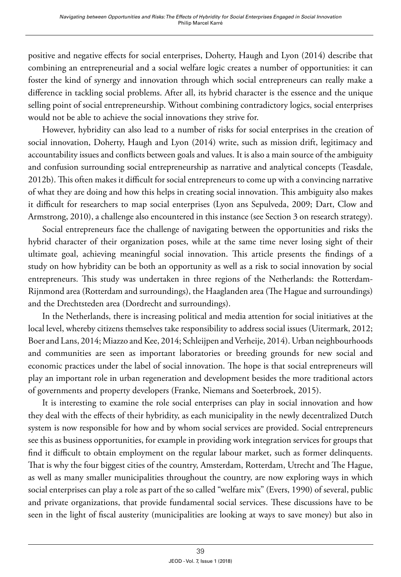positive and negative effects for social enterprises, Doherty, Haugh and Lyon (2014) describe that combining an entrepreneurial and a social welfare logic creates a number of opportunities: it can foster the kind of synergy and innovation through which social entrepreneurs can really make a difference in tackling social problems. After all, its hybrid character is the essence and the unique selling point of social entrepreneurship. Without combining contradictory logics, social enterprises would not be able to achieve the social innovations they strive for.

However, hybridity can also lead to a number of risks for social enterprises in the creation of social innovation, Doherty, Haugh and Lyon (2014) write, such as mission drift, legitimacy and accountability issues and conflicts between goals and values. It is also a main source of the ambiguity and confusion surrounding social entrepreneurship as narrative and analytical concepts (Teasdale, 2012b). This often makes it difficult for social entrepreneurs to come up with a convincing narrative of what they are doing and how this helps in creating social innovation. This ambiguity also makes it difficult for researchers to map social enterprises (Lyon ans Sepulveda, 2009; Dart, Clow and Armstrong, 2010), a challenge also encountered in this instance (see Section 3 on research strategy).

Social entrepreneurs face the challenge of navigating between the opportunities and risks the hybrid character of their organization poses, while at the same time never losing sight of their ultimate goal, achieving meaningful social innovation. This article presents the findings of a study on how hybridity can be both an opportunity as well as a risk to social innovation by social entrepreneurs. This study was undertaken in three regions of the Netherlands: the Rotterdam-Rijnmond area (Rotterdam and surroundings), the Haaglanden area (The Hague and surroundings) and the Drechtsteden area (Dordrecht and surroundings).

In the Netherlands, there is increasing political and media attention for social initiatives at the local level, whereby citizens themselves take responsibility to address social issues (Uitermark, 2012; Boer and Lans, 2014; Miazzo and Kee, 2014; Schleijpen and Verheije, 2014). Urban neighbourhoods and communities are seen as important laboratories or breeding grounds for new social and economic practices under the label of social innovation. The hope is that social entrepreneurs will play an important role in urban regeneration and development besides the more traditional actors of governments and property developers (Franke, Niemans and Soeterbroek, 2015).

It is interesting to examine the role social enterprises can play in social innovation and how they deal with the effects of their hybridity, as each municipality in the newly decentralized Dutch system is now responsible for how and by whom social services are provided. Social entrepreneurs see this as business opportunities, for example in providing work integration services for groups that find it difficult to obtain employment on the regular labour market, such as former delinquents. That is why the four biggest cities of the country, Amsterdam, Rotterdam, Utrecht and The Hague, as well as many smaller municipalities throughout the country, are now exploring ways in which social enterprises can play a role as part of the so called "welfare mix" (Evers, 1990) of several, public and private organizations, that provide fundamental social services. These discussions have to be seen in the light of fiscal austerity (municipalities are looking at ways to save money) but also in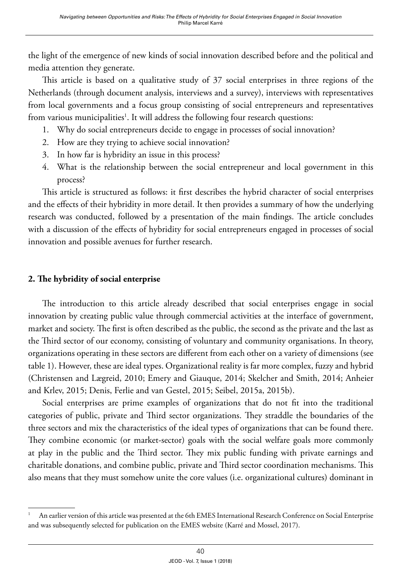the light of the emergence of new kinds of social innovation described before and the political and media attention they generate.

This article is based on a qualitative study of 37 social enterprises in three regions of the Netherlands (through document analysis, interviews and a survey), interviews with representatives from local governments and a focus group consisting of social entrepreneurs and representatives from various municipalities<sup>1</sup>. It will address the following four research questions:

- 1. Why do social entrepreneurs decide to engage in processes of social innovation?
- 2. How are they trying to achieve social innovation?
- 3. In how far is hybridity an issue in this process?
- 4. What is the relationship between the social entrepreneur and local government in this process?

This article is structured as follows: it first describes the hybrid character of social enterprises and the effects of their hybridity in more detail. It then provides a summary of how the underlying research was conducted, followed by a presentation of the main findings. The article concludes with a discussion of the effects of hybridity for social entrepreneurs engaged in processes of social innovation and possible avenues for further research.

## **2. The hybridity of social enterprise**

The introduction to this article already described that social enterprises engage in social innovation by creating public value through commercial activities at the interface of government, market and society. The first is often described as the public, the second as the private and the last as the Third sector of our economy, consisting of voluntary and community organisations. In theory, organizations operating in these sectors are different from each other on a variety of dimensions (see table 1). However, these are ideal types. Organizational reality is far more complex, fuzzy and hybrid (Christensen and Lægreid, 2010; Emery and Giauque, 2014; Skelcher and Smith, 2014; Anheier and Krlev, 2015; Denis, Ferlie and van Gestel, 2015; Seibel, 2015a, 2015b).

Social enterprises are prime examples of organizations that do not fit into the traditional categories of public, private and Third sector organizations. They straddle the boundaries of the three sectors and mix the characteristics of the ideal types of organizations that can be found there. They combine economic (or market-sector) goals with the social welfare goals more commonly at play in the public and the Third sector. They mix public funding with private earnings and charitable donations, and combine public, private and Third sector coordination mechanisms. This also means that they must somehow unite the core values (i.e. organizational cultures) dominant in

An earlier version of this article was presented at the 6th EMES International Research Conference on Social Enterprise and was subsequently selected for publication on the EMES website (Karré and Mossel, 2017).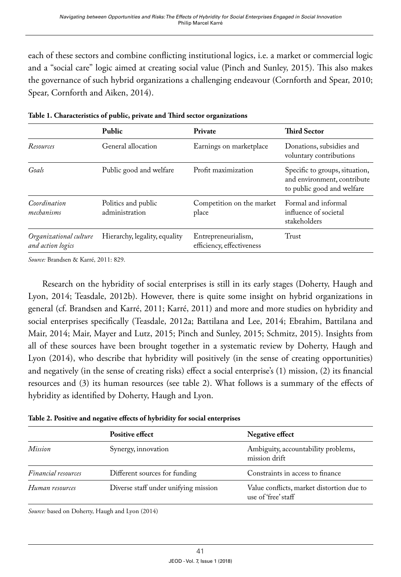each of these sectors and combine conflicting institutional logics, i.e. a market or commercial logic and a "social care" logic aimed at creating social value (Pinch and Sunley, 2015). This also makes the governance of such hybrid organizations a challenging endeavour (Cornforth and Spear, 2010; Spear, Cornforth and Aiken, 2014).

|                                                                     | <b>Public</b>                 | Private                                          | <b>Third Sector</b>                                                                         |
|---------------------------------------------------------------------|-------------------------------|--------------------------------------------------|---------------------------------------------------------------------------------------------|
| Resources                                                           | General allocation            | Earnings on marketplace                          | Donations, subsidies and<br>voluntary contributions                                         |
| Goals                                                               | Public good and welfare       | Profit maximization                              | Specific to groups, situation,<br>and environment, contribute<br>to public good and welfare |
| Coordination<br>Politics and public<br>administration<br>mechanisms |                               | Competition on the market<br>place               | Formal and informal<br>influence of societal<br>stakeholders                                |
| Organizational culture<br>and action logics                         | Hierarchy, legality, equality | Entrepreneurialism,<br>efficiency, effectiveness | Trust                                                                                       |

**Table 1. Characteristics of public, private and Third sector organizations**

*Source:* Brandsen & Karré, 2011: 829.

Research on the hybridity of social enterprises is still in its early stages (Doherty, Haugh and Lyon, 2014; Teasdale, 2012b). However, there is quite some insight on hybrid organizations in general (cf. Brandsen and Karré, 2011; Karré, 2011) and more and more studies on hybridity and social enterprises specifically (Teasdale, 2012a; Battilana and Lee, 2014; Ebrahim, Battilana and Mair, 2014; Mair, Mayer and Lutz, 2015; Pinch and Sunley, 2015; Schmitz, 2015). Insights from all of these sources have been brought together in a systematic review by Doherty, Haugh and Lyon (2014), who describe that hybridity will positively (in the sense of creating opportunities) and negatively (in the sense of creating risks) effect a social enterprise's (1) mission, (2) its financial resources and (3) its human resources (see table 2). What follows is a summary of the effects of hybridity as identified by Doherty, Haugh and Lyon.

**Table 2. Positive and negative effects of hybridity for social enterprises** 

|                            | <b>Positive effect</b>               | Negative effect                                                  |
|----------------------------|--------------------------------------|------------------------------------------------------------------|
| Mission                    | Synergy, innovation                  | Ambiguity, accountability problems,<br>mission drift             |
| <i>Financial resources</i> | Different sources for funding        | Constraints in access to finance                                 |
| Human resources            | Diverse staff under unifying mission | Value conflicts, market distortion due to<br>use of 'free' staff |

*Source:* based on Doherty, Haugh and Lyon (2014)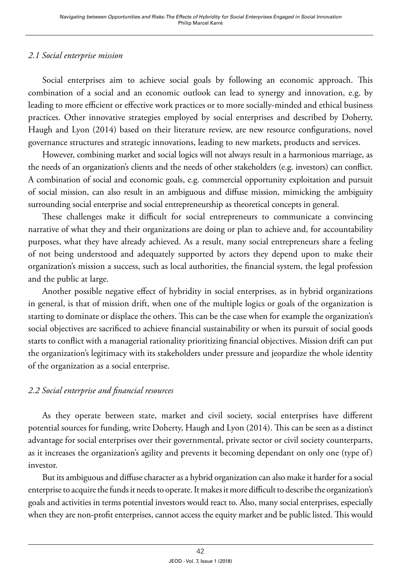## *2.1 Social enterprise mission*

Social enterprises aim to achieve social goals by following an economic approach. This combination of a social and an economic outlook can lead to synergy and innovation, e.g. by leading to more efficient or effective work practices or to more socially-minded and ethical business practices. Other innovative strategies employed by social enterprises and described by Doherty, Haugh and Lyon (2014) based on their literature review, are new resource configurations, novel governance structures and strategic innovations, leading to new markets, products and services.

However, combining market and social logics will not always result in a harmonious marriage, as the needs of an organization's clients and the needs of other stakeholders (e.g. investors) can conflict. A combination of social and economic goals, e.g. commercial opportunity exploitation and pursuit of social mission, can also result in an ambiguous and diffuse mission, mimicking the ambiguity surrounding social enterprise and social entrepreneurship as theoretical concepts in general.

These challenges make it difficult for social entrepreneurs to communicate a convincing narrative of what they and their organizations are doing or plan to achieve and, for accountability purposes, what they have already achieved. As a result, many social entrepreneurs share a feeling of not being understood and adequately supported by actors they depend upon to make their organization's mission a success, such as local authorities, the financial system, the legal profession and the public at large.

Another possible negative effect of hybridity in social enterprises, as in hybrid organizations in general, is that of mission drift, when one of the multiple logics or goals of the organization is starting to dominate or displace the others. This can be the case when for example the organization's social objectives are sacrificed to achieve financial sustainability or when its pursuit of social goods starts to conflict with a managerial rationality prioritizing financial objectives. Mission drift can put the organization's legitimacy with its stakeholders under pressure and jeopardize the whole identity of the organization as a social enterprise.

## *2.2 Social enterprise and financial resources*

As they operate between state, market and civil society, social enterprises have different potential sources for funding, write Doherty, Haugh and Lyon (2014). This can be seen as a distinct advantage for social enterprises over their governmental, private sector or civil society counterparts, as it increases the organization's agility and prevents it becoming dependant on only one (type of) investor.

But its ambiguous and diffuse character as a hybrid organization can also make it harder for a social enterprise to acquire the funds it needs to operate. It makes it more difficult to describe the organization's goals and activities in terms potential investors would react to. Also, many social enterprises, especially when they are non-profit enterprises, cannot access the equity market and be public listed. This would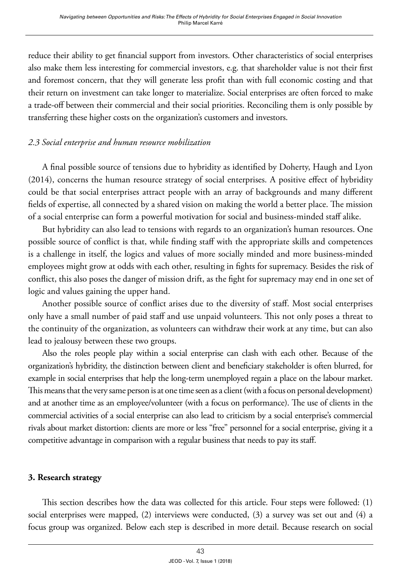reduce their ability to get financial support from investors. Other characteristics of social enterprises also make them less interesting for commercial investors, e.g. that shareholder value is not their first and foremost concern, that they will generate less profit than with full economic costing and that their return on investment can take longer to materialize. Social enterprises are often forced to make a trade-off between their commercial and their social priorities. Reconciling them is only possible by transferring these higher costs on the organization's customers and investors.

## *2.3 Social enterprise and human resource mobilization*

A final possible source of tensions due to hybridity as identified by Doherty, Haugh and Lyon (2014), concerns the human resource strategy of social enterprises. A positive effect of hybridity could be that social enterprises attract people with an array of backgrounds and many different fields of expertise, all connected by a shared vision on making the world a better place. The mission of a social enterprise can form a powerful motivation for social and business-minded staff alike.

But hybridity can also lead to tensions with regards to an organization's human resources. One possible source of conflict is that, while finding staff with the appropriate skills and competences is a challenge in itself, the logics and values of more socially minded and more business-minded employees might grow at odds with each other, resulting in fights for supremacy. Besides the risk of conflict, this also poses the danger of mission drift, as the fight for supremacy may end in one set of logic and values gaining the upper hand.

Another possible source of conflict arises due to the diversity of staff. Most social enterprises only have a small number of paid staff and use unpaid volunteers. This not only poses a threat to the continuity of the organization, as volunteers can withdraw their work at any time, but can also lead to jealousy between these two groups.

Also the roles people play within a social enterprise can clash with each other. Because of the organization's hybridity, the distinction between client and beneficiary stakeholder is often blurred, for example in social enterprises that help the long-term unemployed regain a place on the labour market. This means that the very same person is at one time seen as a client (with a focus on personal development) and at another time as an employee/volunteer (with a focus on performance). The use of clients in the commercial activities of a social enterprise can also lead to criticism by a social enterprise's commercial rivals about market distortion: clients are more or less "free" personnel for a social enterprise, giving it a competitive advantage in comparison with a regular business that needs to pay its staff.

## **3. Research strategy**

This section describes how the data was collected for this article. Four steps were followed: (1) social enterprises were mapped, (2) interviews were conducted, (3) a survey was set out and (4) a focus group was organized. Below each step is described in more detail. Because research on social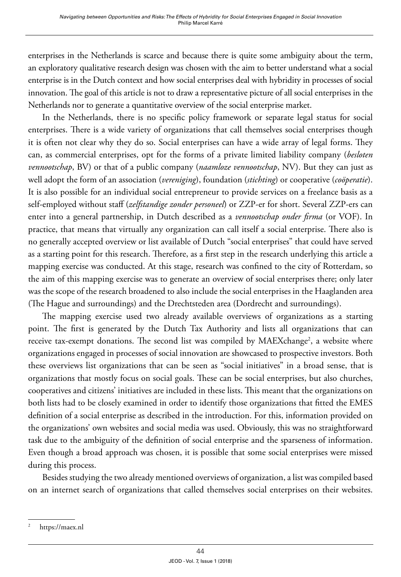enterprises in the Netherlands is scarce and because there is quite some ambiguity about the term, an exploratory qualitative research design was chosen with the aim to better understand what a social enterprise is in the Dutch context and how social enterprises deal with hybridity in processes of social innovation. The goal of this article is not to draw a representative picture of all social enterprises in the Netherlands nor to generate a quantitative overview of the social enterprise market.

In the Netherlands, there is no specific policy framework or separate legal status for social enterprises. There is a wide variety of organizations that call themselves social enterprises though it is often not clear why they do so. Social enterprises can have a wide array of legal forms. They can, as commercial enterprises, opt for the forms of a private limited liability company (*besloten vennootschap*, BV) or that of a public company (*naamloze vennootschap*, NV). But they can just as well adopt the form of an association (*vereniging*), foundation (*stichting*) or cooperative (*coöperatie*). It is also possible for an individual social entrepreneur to provide services on a freelance basis as a self-employed without staff (*zelfstandige zonder personeel*) or ZZP-er for short. Several ZZP-ers can enter into a general partnership, in Dutch described as a *vennootschap onder firma* (or VOF). In practice, that means that virtually any organization can call itself a social enterprise. There also is no generally accepted overview or list available of Dutch "social enterprises" that could have served as a starting point for this research. Therefore, as a first step in the research underlying this article a mapping exercise was conducted. At this stage, research was confined to the city of Rotterdam, so the aim of this mapping exercise was to generate an overview of social enterprises there; only later was the scope of the research broadened to also include the social enterprises in the Haaglanden area (The Hague and surroundings) and the Drechtsteden area (Dordrecht and surroundings).

The mapping exercise used two already available overviews of organizations as a starting point. The first is generated by the Dutch Tax Authority and lists all organizations that can receive tax-exempt donations. The second list was compiled by MAEXchange<sup>2</sup>, a website where organizations engaged in processes of social innovation are showcased to prospective investors. Both these overviews list organizations that can be seen as "social initiatives" in a broad sense, that is organizations that mostly focus on social goals. These can be social enterprises, but also churches, cooperatives and citizens' initiatives are included in these lists. This meant that the organizations on both lists had to be closely examined in order to identify those organizations that fitted the EMES definition of a social enterprise as described in the introduction. For this, information provided on the organizations' own websites and social media was used. Obviously, this was no straightforward task due to the ambiguity of the definition of social enterprise and the sparseness of information. Even though a broad approach was chosen, it is possible that some social enterprises were missed during this process.

Besides studying the two already mentioned overviews of organization, a list was compiled based on an internet search of organizations that called themselves social enterprises on their websites.

https://maex.nl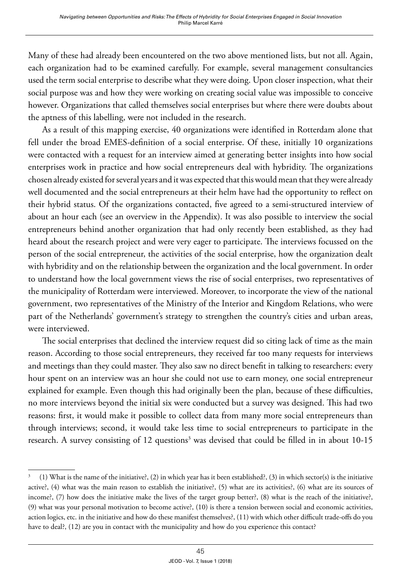Many of these had already been encountered on the two above mentioned lists, but not all. Again, each organization had to be examined carefully. For example, several management consultancies used the term social enterprise to describe what they were doing. Upon closer inspection, what their social purpose was and how they were working on creating social value was impossible to conceive however. Organizations that called themselves social enterprises but where there were doubts about the aptness of this labelling, were not included in the research.

As a result of this mapping exercise, 40 organizations were identified in Rotterdam alone that fell under the broad EMES-definition of a social enterprise. Of these, initially 10 organizations were contacted with a request for an interview aimed at generating better insights into how social enterprises work in practice and how social entrepreneurs deal with hybridity. The organizations chosen already existed for several years and it was expected that this would mean that they were already well documented and the social entrepreneurs at their helm have had the opportunity to reflect on their hybrid status. Of the organizations contacted, five agreed to a semi-structured interview of about an hour each (see an overview in the Appendix). It was also possible to interview the social entrepreneurs behind another organization that had only recently been established, as they had heard about the research project and were very eager to participate. The interviews focussed on the person of the social entrepreneur, the activities of the social enterprise, how the organization dealt with hybridity and on the relationship between the organization and the local government. In order to understand how the local government views the rise of social enterprises, two representatives of the municipality of Rotterdam were interviewed. Moreover, to incorporate the view of the national government, two representatives of the Ministry of the Interior and Kingdom Relations, who were part of the Netherlands' government's strategy to strengthen the country's cities and urban areas, were interviewed.

The social enterprises that declined the interview request did so citing lack of time as the main reason. According to those social entrepreneurs, they received far too many requests for interviews and meetings than they could master. They also saw no direct benefit in talking to researchers: every hour spent on an interview was an hour she could not use to earn money, one social entrepreneur explained for example. Even though this had originally been the plan, because of these difficulties, no more interviews beyond the initial six were conducted but a survey was designed. This had two reasons: first, it would make it possible to collect data from many more social entrepreneurs than through interviews; second, it would take less time to social entrepreneurs to participate in the research. A survey consisting of 12 questions<sup>3</sup> was devised that could be filled in in about 10-15

<sup>3 (1)</sup> What is the name of the initiative?, (2) in which year has it been established?, (3) in which sector(s) is the initiative active?, (4) what was the main reason to establish the initiative?, (5) what are its activities?, (6) what are its sources of income?, (7) how does the initiative make the lives of the target group better?, (8) what is the reach of the initiative?, (9) what was your personal motivation to become active?, (10) is there a tension between social and economic activities, action logics, etc. in the initiative and how do these manifest themselves?, (11) with which other difficult trade-offs do you have to deal?, (12) are you in contact with the municipality and how do you experience this contact?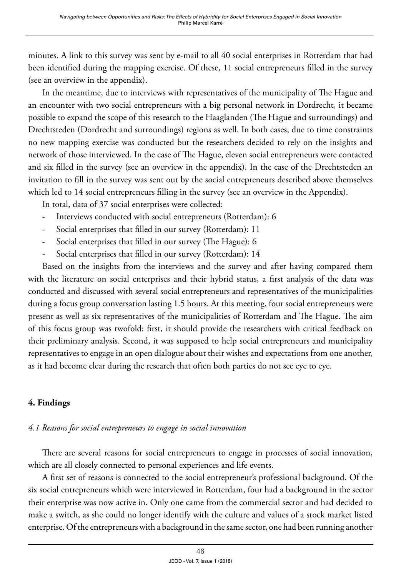minutes. A link to this survey was sent by e-mail to all 40 social enterprises in Rotterdam that had been identified during the mapping exercise. Of these, 11 social entrepreneurs filled in the survey (see an overview in the appendix).

In the meantime, due to interviews with representatives of the municipality of The Hague and an encounter with two social entrepreneurs with a big personal network in Dordrecht, it became possible to expand the scope of this research to the Haaglanden (The Hague and surroundings) and Drechtsteden (Dordrecht and surroundings) regions as well. In both cases, due to time constraints no new mapping exercise was conducted but the researchers decided to rely on the insights and network of those interviewed. In the case of The Hague, eleven social entrepreneurs were contacted and six filled in the survey (see an overview in the appendix). In the case of the Drechtsteden an invitation to fill in the survey was sent out by the social entrepreneurs described above themselves which led to 14 social entrepreneurs filling in the survey (see an overview in the Appendix).

In total, data of 37 social enterprises were collected:

- Interviews conducted with social entrepreneurs (Rotterdam): 6
- Social enterprises that filled in our survey (Rotterdam): 11
- Social enterprises that filled in our survey (The Hague): 6
- Social enterprises that filled in our survey (Rotterdam): 14

Based on the insights from the interviews and the survey and after having compared them with the literature on social enterprises and their hybrid status, a first analysis of the data was conducted and discussed with several social entrepreneurs and representatives of the municipalities during a focus group conversation lasting 1.5 hours. At this meeting, four social entrepreneurs were present as well as six representatives of the municipalities of Rotterdam and The Hague. The aim of this focus group was twofold: first, it should provide the researchers with critical feedback on their preliminary analysis. Second, it was supposed to help social entrepreneurs and municipality representatives to engage in an open dialogue about their wishes and expectations from one another, as it had become clear during the research that often both parties do not see eye to eye.

# **4. Findings**

## *4.1 Reasons for social entrepreneurs to engage in social innovation*

There are several reasons for social entrepreneurs to engage in processes of social innovation, which are all closely connected to personal experiences and life events.

A first set of reasons is connected to the social entrepreneur's professional background. Of the six social entrepreneurs which were interviewed in Rotterdam, four had a background in the sector their enterprise was now active in. Only one came from the commercial sector and had decided to make a switch, as she could no longer identify with the culture and values of a stock market listed enterprise. Of the entrepreneurs with a background in the same sector, one had been running another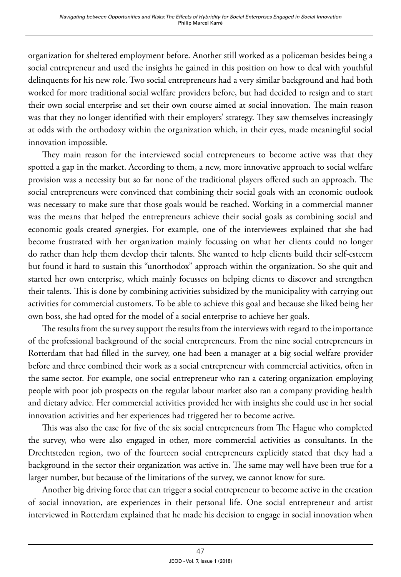organization for sheltered employment before. Another still worked as a policeman besides being a social entrepreneur and used the insights he gained in this position on how to deal with youthful delinquents for his new role. Two social entrepreneurs had a very similar background and had both worked for more traditional social welfare providers before, but had decided to resign and to start their own social enterprise and set their own course aimed at social innovation. The main reason was that they no longer identified with their employers' strategy. They saw themselves increasingly at odds with the orthodoxy within the organization which, in their eyes, made meaningful social innovation impossible.

They main reason for the interviewed social entrepreneurs to become active was that they spotted a gap in the market. According to them, a new, more innovative approach to social welfare provision was a necessity but so far none of the traditional players offered such an approach. The social entrepreneurs were convinced that combining their social goals with an economic outlook was necessary to make sure that those goals would be reached. Working in a commercial manner was the means that helped the entrepreneurs achieve their social goals as combining social and economic goals created synergies. For example, one of the interviewees explained that she had become frustrated with her organization mainly focussing on what her clients could no longer do rather than help them develop their talents. She wanted to help clients build their self-esteem but found it hard to sustain this "unorthodox" approach within the organization. So she quit and started her own enterprise, which mainly focusses on helping clients to discover and strengthen their talents. This is done by combining activities subsidized by the municipality with carrying out activities for commercial customers. To be able to achieve this goal and because she liked being her own boss, she had opted for the model of a social enterprise to achieve her goals.

The results from the survey support the results from the interviews with regard to the importance of the professional background of the social entrepreneurs. From the nine social entrepreneurs in Rotterdam that had filled in the survey, one had been a manager at a big social welfare provider before and three combined their work as a social entrepreneur with commercial activities, often in the same sector. For example, one social entrepreneur who ran a catering organization employing people with poor job prospects on the regular labour market also ran a company providing health and dietary advice. Her commercial activities provided her with insights she could use in her social innovation activities and her experiences had triggered her to become active.

This was also the case for five of the six social entrepreneurs from The Hague who completed the survey, who were also engaged in other, more commercial activities as consultants. In the Drechtsteden region, two of the fourteen social entrepreneurs explicitly stated that they had a background in the sector their organization was active in. The same may well have been true for a larger number, but because of the limitations of the survey, we cannot know for sure.

Another big driving force that can trigger a social entrepreneur to become active in the creation of social innovation, are experiences in their personal life. One social entrepreneur and artist interviewed in Rotterdam explained that he made his decision to engage in social innovation when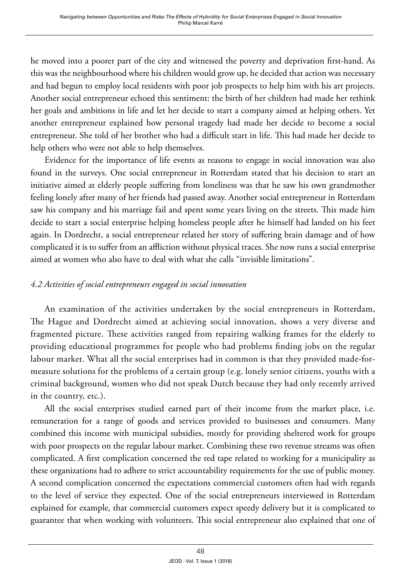he moved into a poorer part of the city and witnessed the poverty and deprivation first-hand. As this was the neighbourhood where his children would grow up, he decided that action was necessary and had begun to employ local residents with poor job prospects to help him with his art projects. Another social entrepreneur echoed this sentiment: the birth of her children had made her rethink her goals and ambitions in life and let her decide to start a company aimed at helping others. Yet another entrepreneur explained how personal tragedy had made her decide to become a social entrepreneur. She told of her brother who had a difficult start in life. This had made her decide to help others who were not able to help themselves.

Evidence for the importance of life events as reasons to engage in social innovation was also found in the surveys. One social entrepreneur in Rotterdam stated that his decision to start an initiative aimed at elderly people suffering from loneliness was that he saw his own grandmother feeling lonely after many of her friends had passed away. Another social entrepreneur in Rotterdam saw his company and his marriage fail and spent some years living on the streets. This made him decide to start a social enterprise helping homeless people after he himself had landed on his feet again. In Dordrecht, a social entrepreneur related her story of suffering brain damage and of how complicated it is to suffer from an affliction without physical traces. She now runs a social enterprise aimed at women who also have to deal with what she calls "invisible limitations".

## *4.2 Activities of social entrepreneurs engaged in social innovation*

An examination of the activities undertaken by the social entrepreneurs in Rotterdam, The Hague and Dordrecht aimed at achieving social innovation, shows a very diverse and fragmented picture. These activities ranged from repairing walking frames for the elderly to providing educational programmes for people who had problems finding jobs on the regular labour market. What all the social enterprises had in common is that they provided made-formeasure solutions for the problems of a certain group (e.g. lonely senior citizens, youths with a criminal background, women who did not speak Dutch because they had only recently arrived in the country, etc.).

All the social enterprises studied earned part of their income from the market place, i.e. remuneration for a range of goods and services provided to businesses and consumers. Many combined this income with municipal subsidies, mostly for providing sheltered work for groups with poor prospects on the regular labour market. Combining these two revenue streams was often complicated. A first complication concerned the red tape related to working for a municipality as these organizations had to adhere to strict accountability requirements for the use of public money. A second complication concerned the expectations commercial customers often had with regards to the level of service they expected. One of the social entrepreneurs interviewed in Rotterdam explained for example, that commercial customers expect speedy delivery but it is complicated to guarantee that when working with volunteers. This social entrepreneur also explained that one of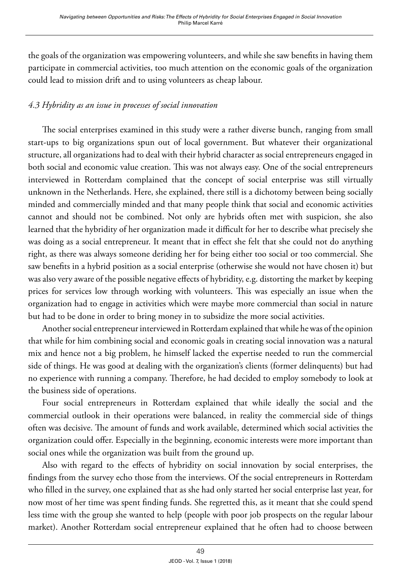the goals of the organization was empowering volunteers, and while she saw benefits in having them participate in commercial activities, too much attention on the economic goals of the organization could lead to mission drift and to using volunteers as cheap labour.

# *4.3 Hybridity as an issue in processes of social innovation*

The social enterprises examined in this study were a rather diverse bunch, ranging from small start-ups to big organizations spun out of local government. But whatever their organizational structure, all organizations had to deal with their hybrid character as social entrepreneurs engaged in both social and economic value creation. This was not always easy. One of the social entrepreneurs interviewed in Rotterdam complained that the concept of social enterprise was still virtually unknown in the Netherlands. Here, she explained, there still is a dichotomy between being socially minded and commercially minded and that many people think that social and economic activities cannot and should not be combined. Not only are hybrids often met with suspicion, she also learned that the hybridity of her organization made it difficult for her to describe what precisely she was doing as a social entrepreneur. It meant that in effect she felt that she could not do anything right, as there was always someone deriding her for being either too social or too commercial. She saw benefits in a hybrid position as a social enterprise (otherwise she would not have chosen it) but was also very aware of the possible negative effects of hybridity, e.g. distorting the market by keeping prices for services low through working with volunteers. This was especially an issue when the organization had to engage in activities which were maybe more commercial than social in nature but had to be done in order to bring money in to subsidize the more social activities.

Another social entrepreneur interviewed in Rotterdam explained that while he was of the opinion that while for him combining social and economic goals in creating social innovation was a natural mix and hence not a big problem, he himself lacked the expertise needed to run the commercial side of things. He was good at dealing with the organization's clients (former delinquents) but had no experience with running a company. Therefore, he had decided to employ somebody to look at the business side of operations.

Four social entrepreneurs in Rotterdam explained that while ideally the social and the commercial outlook in their operations were balanced, in reality the commercial side of things often was decisive. The amount of funds and work available, determined which social activities the organization could offer. Especially in the beginning, economic interests were more important than social ones while the organization was built from the ground up.

Also with regard to the effects of hybridity on social innovation by social enterprises, the findings from the survey echo those from the interviews. Of the social entrepreneurs in Rotterdam who filled in the survey, one explained that as she had only started her social enterprise last year, for now most of her time was spent finding funds. She regretted this, as it meant that she could spend less time with the group she wanted to help (people with poor job prospects on the regular labour market). Another Rotterdam social entrepreneur explained that he often had to choose between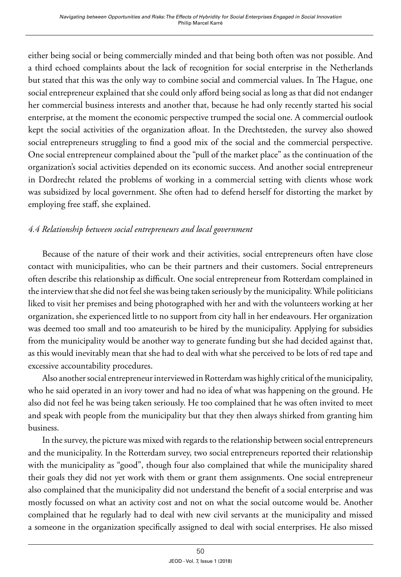either being social or being commercially minded and that being both often was not possible. And a third echoed complaints about the lack of recognition for social enterprise in the Netherlands but stated that this was the only way to combine social and commercial values. In The Hague, one social entrepreneur explained that she could only afford being social as long as that did not endanger her commercial business interests and another that, because he had only recently started his social enterprise, at the moment the economic perspective trumped the social one. A commercial outlook kept the social activities of the organization afloat. In the Drechtsteden, the survey also showed social entrepreneurs struggling to find a good mix of the social and the commercial perspective. One social entrepreneur complained about the "pull of the market place" as the continuation of the organization's social activities depended on its economic success. And another social entrepreneur in Dordrecht related the problems of working in a commercial setting with clients whose work was subsidized by local government. She often had to defend herself for distorting the market by employing free staff, she explained.

# *4.4 Relationship between social entrepreneurs and local government*

Because of the nature of their work and their activities, social entrepreneurs often have close contact with municipalities, who can be their partners and their customers. Social entrepreneurs often describe this relationship as difficult. One social entrepreneur from Rotterdam complained in the interview that she did not feel she was being taken seriously by the municipality. While politicians liked to visit her premises and being photographed with her and with the volunteers working at her organization, she experienced little to no support from city hall in her endeavours. Her organization was deemed too small and too amateurish to be hired by the municipality. Applying for subsidies from the municipality would be another way to generate funding but she had decided against that, as this would inevitably mean that she had to deal with what she perceived to be lots of red tape and excessive accountability procedures.

Also another social entrepreneur interviewed in Rotterdam was highly critical of the municipality, who he said operated in an ivory tower and had no idea of what was happening on the ground. He also did not feel he was being taken seriously. He too complained that he was often invited to meet and speak with people from the municipality but that they then always shirked from granting him business.

In the survey, the picture was mixed with regards to the relationship between social entrepreneurs and the municipality. In the Rotterdam survey, two social entrepreneurs reported their relationship with the municipality as "good", though four also complained that while the municipality shared their goals they did not yet work with them or grant them assignments. One social entrepreneur also complained that the municipality did not understand the benefit of a social enterprise and was mostly focussed on what an activity cost and not on what the social outcome would be. Another complained that he regularly had to deal with new civil servants at the municipality and missed a someone in the organization specifically assigned to deal with social enterprises. He also missed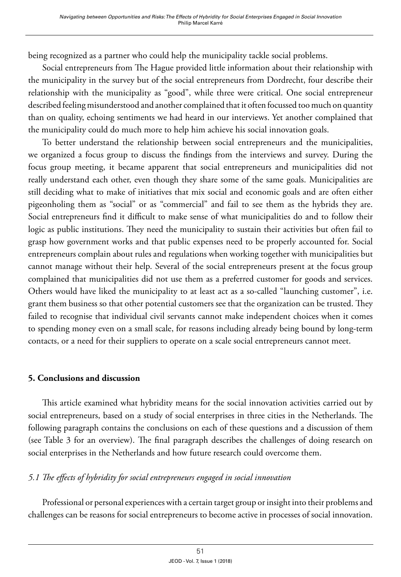being recognized as a partner who could help the municipality tackle social problems.

Social entrepreneurs from The Hague provided little information about their relationship with the municipality in the survey but of the social entrepreneurs from Dordrecht, four describe their relationship with the municipality as "good", while three were critical. One social entrepreneur described feeling misunderstood and another complained that it often focussed too much on quantity than on quality, echoing sentiments we had heard in our interviews. Yet another complained that the municipality could do much more to help him achieve his social innovation goals.

To better understand the relationship between social entrepreneurs and the municipalities, we organized a focus group to discuss the findings from the interviews and survey. During the focus group meeting, it became apparent that social entrepreneurs and municipalities did not really understand each other, even though they share some of the same goals. Municipalities are still deciding what to make of initiatives that mix social and economic goals and are often either pigeonholing them as "social" or as "commercial" and fail to see them as the hybrids they are. Social entrepreneurs find it difficult to make sense of what municipalities do and to follow their logic as public institutions. They need the municipality to sustain their activities but often fail to grasp how government works and that public expenses need to be properly accounted for. Social entrepreneurs complain about rules and regulations when working together with municipalities but cannot manage without their help. Several of the social entrepreneurs present at the focus group complained that municipalities did not use them as a preferred customer for goods and services. Others would have liked the municipality to at least act as a so-called "launching customer", i.e. grant them business so that other potential customers see that the organization can be trusted. They failed to recognise that individual civil servants cannot make independent choices when it comes to spending money even on a small scale, for reasons including already being bound by long-term contacts, or a need for their suppliers to operate on a scale social entrepreneurs cannot meet.

## **5. Conclusions and discussion**

This article examined what hybridity means for the social innovation activities carried out by social entrepreneurs, based on a study of social enterprises in three cities in the Netherlands. The following paragraph contains the conclusions on each of these questions and a discussion of them (see Table 3 for an overview). The final paragraph describes the challenges of doing research on social enterprises in the Netherlands and how future research could overcome them.

# *5.1 The effects of hybridity for social entrepreneurs engaged in social innovation*

Professional or personal experiences with a certain target group or insight into their problems and challenges can be reasons for social entrepreneurs to become active in processes of social innovation.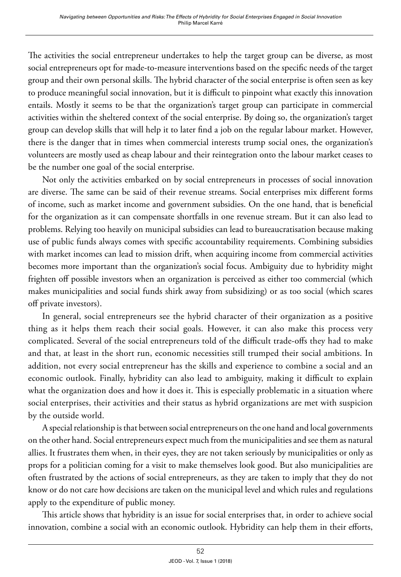The activities the social entrepreneur undertakes to help the target group can be diverse, as most social entrepreneurs opt for made-to-measure interventions based on the specific needs of the target group and their own personal skills. The hybrid character of the social enterprise is often seen as key to produce meaningful social innovation, but it is difficult to pinpoint what exactly this innovation entails. Mostly it seems to be that the organization's target group can participate in commercial activities within the sheltered context of the social enterprise. By doing so, the organization's target group can develop skills that will help it to later find a job on the regular labour market. However, there is the danger that in times when commercial interests trump social ones, the organization's volunteers are mostly used as cheap labour and their reintegration onto the labour market ceases to be the number one goal of the social enterprise.

Not only the activities embarked on by social entrepreneurs in processes of social innovation are diverse. The same can be said of their revenue streams. Social enterprises mix different forms of income, such as market income and government subsidies. On the one hand, that is beneficial for the organization as it can compensate shortfalls in one revenue stream. But it can also lead to problems. Relying too heavily on municipal subsidies can lead to bureaucratisation because making use of public funds always comes with specific accountability requirements. Combining subsidies with market incomes can lead to mission drift, when acquiring income from commercial activities becomes more important than the organization's social focus. Ambiguity due to hybridity might frighten off possible investors when an organization is perceived as either too commercial (which makes municipalities and social funds shirk away from subsidizing) or as too social (which scares off private investors).

In general, social entrepreneurs see the hybrid character of their organization as a positive thing as it helps them reach their social goals. However, it can also make this process very complicated. Several of the social entrepreneurs told of the difficult trade-offs they had to make and that, at least in the short run, economic necessities still trumped their social ambitions. In addition, not every social entrepreneur has the skills and experience to combine a social and an economic outlook. Finally, hybridity can also lead to ambiguity, making it difficult to explain what the organization does and how it does it. This is especially problematic in a situation where social enterprises, their activities and their status as hybrid organizations are met with suspicion by the outside world.

A special relationship is that between social entrepreneurs on the one hand and local governments on the other hand. Social entrepreneurs expect much from the municipalities and see them as natural allies. It frustrates them when, in their eyes, they are not taken seriously by municipalities or only as props for a politician coming for a visit to make themselves look good. But also municipalities are often frustrated by the actions of social entrepreneurs, as they are taken to imply that they do not know or do not care how decisions are taken on the municipal level and which rules and regulations apply to the expenditure of public money.

This article shows that hybridity is an issue for social enterprises that, in order to achieve social innovation, combine a social with an economic outlook. Hybridity can help them in their efforts,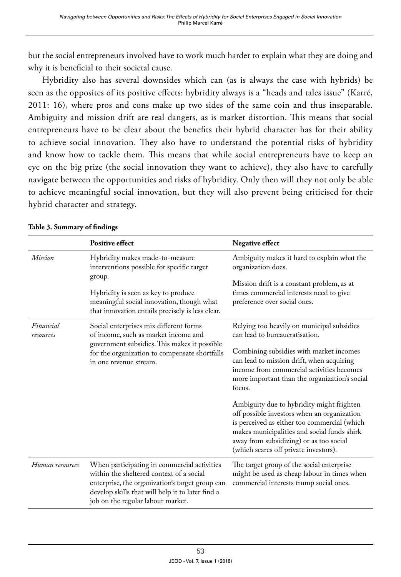but the social entrepreneurs involved have to work much harder to explain what they are doing and why it is beneficial to their societal cause.

Hybridity also has several downsides which can (as is always the case with hybrids) be seen as the opposites of its positive effects: hybridity always is a "heads and tales issue" (Karré, 2011: 16), where pros and cons make up two sides of the same coin and thus inseparable. Ambiguity and mission drift are real dangers, as is market distortion. This means that social entrepreneurs have to be clear about the benefits their hybrid character has for their ability to achieve social innovation. They also have to understand the potential risks of hybridity and know how to tackle them. This means that while social entrepreneurs have to keep an eye on the big prize (the social innovation they want to achieve), they also have to carefully navigate between the opportunities and risks of hybridity. Only then will they not only be able to achieve meaningful social innovation, but they will also prevent being criticised for their hybrid character and strategy.

|                        | <b>Positive effect</b>                                                                                                                                                                                                              | Negative effect                                                                                                                                                                                                                                                             |
|------------------------|-------------------------------------------------------------------------------------------------------------------------------------------------------------------------------------------------------------------------------------|-----------------------------------------------------------------------------------------------------------------------------------------------------------------------------------------------------------------------------------------------------------------------------|
| <i>Mission</i>         | Hybridity makes made-to-measure<br>interventions possible for specific target<br>group.                                                                                                                                             | Ambiguity makes it hard to explain what the<br>organization does.                                                                                                                                                                                                           |
|                        | Hybridity is seen as key to produce<br>meaningful social innovation, though what<br>that innovation entails precisely is less clear.                                                                                                | Mission drift is a constant problem, as at<br>times commercial interests need to give<br>preference over social ones.                                                                                                                                                       |
| Financial<br>resources | Social enterprises mix different forms<br>of income, such as market income and<br>government subsidies. This makes it possible                                                                                                      | Relying too heavily on municipal subsidies<br>can lead to bureaucratisation.                                                                                                                                                                                                |
|                        | for the organization to compensate shortfalls<br>in one revenue stream.                                                                                                                                                             | Combining subsidies with market incomes<br>can lead to mission drift, when acquiring<br>income from commercial activities becomes<br>more important than the organization's social<br>focus.                                                                                |
|                        |                                                                                                                                                                                                                                     | Ambiguity due to hybridity might frighten<br>off possible investors when an organization<br>is perceived as either too commercial (which<br>makes municipalities and social funds shirk<br>away from subsidizing) or as too social<br>(which scares off private investors). |
| Human resources        | When participating in commercial activities<br>within the sheltered context of a social<br>enterprise, the organization's target group can<br>develop skills that will help it to later find a<br>job on the regular labour market. | The target group of the social enterprise<br>might be used as cheap labour in times when<br>commercial interests trump social ones.                                                                                                                                         |

#### **Table 3. Summary of findings**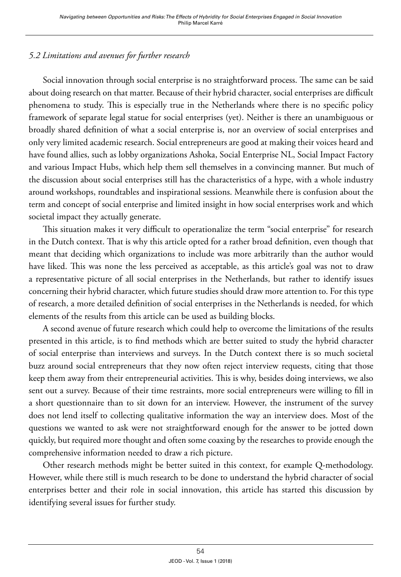# *5.2 Limitations and avenues for further research*

Social innovation through social enterprise is no straightforward process. The same can be said about doing research on that matter. Because of their hybrid character, social enterprises are difficult phenomena to study. This is especially true in the Netherlands where there is no specific policy framework of separate legal statue for social enterprises (yet). Neither is there an unambiguous or broadly shared definition of what a social enterprise is, nor an overview of social enterprises and only very limited academic research. Social entrepreneurs are good at making their voices heard and have found allies, such as lobby organizations Ashoka, Social Enterprise NL, Social Impact Factory and various Impact Hubs, which help them sell themselves in a convincing manner. But much of the discussion about social enterprises still has the characteristics of a hype, with a whole industry around workshops, roundtables and inspirational sessions. Meanwhile there is confusion about the term and concept of social enterprise and limited insight in how social enterprises work and which societal impact they actually generate.

This situation makes it very difficult to operationalize the term "social enterprise" for research in the Dutch context. That is why this article opted for a rather broad definition, even though that meant that deciding which organizations to include was more arbitrarily than the author would have liked. This was none the less perceived as acceptable, as this article's goal was not to draw a representative picture of all social enterprises in the Netherlands, but rather to identify issues concerning their hybrid character, which future studies should draw more attention to. For this type of research, a more detailed definition of social enterprises in the Netherlands is needed, for which elements of the results from this article can be used as building blocks.

A second avenue of future research which could help to overcome the limitations of the results presented in this article, is to find methods which are better suited to study the hybrid character of social enterprise than interviews and surveys. In the Dutch context there is so much societal buzz around social entrepreneurs that they now often reject interview requests, citing that those keep them away from their entrepreneurial activities. This is why, besides doing interviews, we also sent out a survey. Because of their time restraints, more social entrepreneurs were willing to fill in a short questionnaire than to sit down for an interview. However, the instrument of the survey does not lend itself to collecting qualitative information the way an interview does. Most of the questions we wanted to ask were not straightforward enough for the answer to be jotted down quickly, but required more thought and often some coaxing by the researches to provide enough the comprehensive information needed to draw a rich picture.

Other research methods might be better suited in this context, for example Q-methodology. However, while there still is much research to be done to understand the hybrid character of social enterprises better and their role in social innovation, this article has started this discussion by identifying several issues for further study.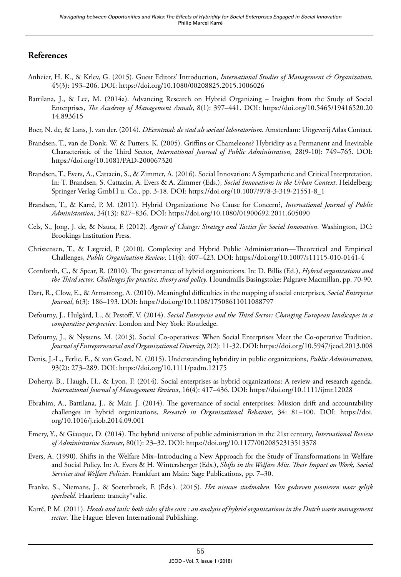## **References**

- Anheier, H. K., & Krlev, G. (2015). Guest Editors' Introduction, *International Studies of Management & Organization*, 45(3): 193–206. DOI: <https://doi.org/10.1080/00208825.2015.1006026>
- Battilana, J., & Lee, M. (2014a). Advancing Research on Hybrid Organizing Insights from the Study of Social Enterprises, *The Academy of Management Annals*, 8(1): 397–441. DOI: [https://doi.org/10.5465/19416520.20](https://doi.org/10.5465/19416520.2014.893615) [14.893615](https://doi.org/10.5465/19416520.2014.893615)
- Boer, N. de, & Lans, J. van der. (2014). *DEcentraal: de stad als sociaal laboratorium*. Amsterdam: Uitgeverij Atlas Contact.
- Brandsen, T., van de Donk, W. & Putters, K. (2005). Griffins or Chameleons? Hybridity as a Permanent and Inevitable Characteristic of the Third Sector, *International Journal of Public Administration,* 28(9-10): 749–765. DOI: https://doi.org/10.1081/PAD-200067320
- Brandsen, T., Evers, A., Cattacin, S., & Zimmer, A. (2016). Social Innovation: A Sympathetic and Critical Interpretation. In: T. Brandsen, S. Cattacin, A. Evers & A. Zimmer (Eds.), *Social Innovations in the Urban Context*. Heidelberg: Springer Verlag GmbH u. Co., pp. 3-18. DOI: https://doi.org/10.1007/978-3-319-21551-8\_1
- Brandsen, T., & Karré, P. M. (2011). Hybrid Organizations: No Cause for Concern?, *International Journal of Public Administration*, 34(13): 827–836. DOI: https://doi.org/10.1080/01900692.2011.605090
- Cels, S., Jong, J. de, & Nauta, F. (2012). *Agents of Change: Strategy and Tactics for Social Innovation*. Washington, DC: Brookings Institution Press.
- Christensen, T., & Lægreid, P. (2010). Complexity and Hybrid Public Administration—Theoretical and Empirical Challenges, *Public Organization Review*, 11(4): 407–423. DOI: https://doi.org/10.1007/s11115-010-0141-4
- Cornforth, C., & Spear, R. (2010). The governance of hybrid organizations. In: D. Billis (Ed.), *Hybrid organizations and the Third sector. Challenges for practice, theory and policy*. Houndmills Basingstoke: Palgrave Macmillan, pp. 70-90.
- Dart, R., Clow, E., & Armstrong, A. (2010). Meaningful difficulties in the mapping of social enterprises, *Social Enterprise Journal*, 6(3): 186–193. DOI: https://doi.org/10.1108/17508611011088797
- Defourny, J., Hulgård, L., & Pestoff, V. (2014). *Social Enterprise and the Third Sector: Changing European landscapes in a comparative perspective*. London and Ney York: Routledge.
- Defourny, J., & Nyssens, M. (2013). Social Co-operatives: When Social Enterprises Meet the Co-operative Tradition, *Journal of Entrepreneurial and Organizational Diversity*, 2(2): 11-32. DOI: https://doi.org/10.5947/jeod.2013.008
- Denis, J.-L., Ferlie, E., & van Gestel, N. (2015). Understanding hybridity in public organizations, *Public Administration*, 93(2): 273–289. DOI: https://doi.org/10.1111/padm.12175
- Doherty, B., Haugh, H., & Lyon, F. (2014). Social enterprises as hybrid organizations: A review and research agenda, *International Journal of Management Reviews*, 16(4): 417–436. DOI: https://doi.org/10.1111/ijmr.12028
- Ebrahim, A., Battilana, J., & Mair, J. (2014). The governance of social enterprises: Mission drift and accountability challenges in hybrid organizations, *Research in Organizational Behavior*, 34: 81–100. DOI: [https://doi.](https://doi.org/10.1016/j.riob.2014.09.001) [org/10.1016/j.riob.2014.09.001](https://doi.org/10.1016/j.riob.2014.09.001)
- Emery, Y., & Giauque, D. (2014). The hybrid universe of public administration in the 21st century, *International Review of Administrative Sciences*, 80(1): 23–32. DOI: https://doi.org/10.1177/0020852313513378
- Evers, A. (1990). Shifts in the Welfare Mix–Introducing a New Approach for the Study of Transformations in Welfare and Social Policy. In: A. Evers & H. Wintersberger (Eds.), *Shifts in the Welfare Mix. Their Impact on Work, Social Services and Welfare Policies.* Frankfurt am Main: Sage Publications, pp. 7–30.
- Franke, S., Niemans, J., & Soeterbroek, F. (Eds.). (2015). *Het nieuwe stadmaken. Van gedreven pionieren naar gelijk speelveld*. Haarlem: trancity\*valiz.
- Karré, P. M. (2011). *Heads and tails: both sides of the coin : an analysis of hybrid organizations in the Dutch waste management sector*. The Hague: Eleven International Publishing.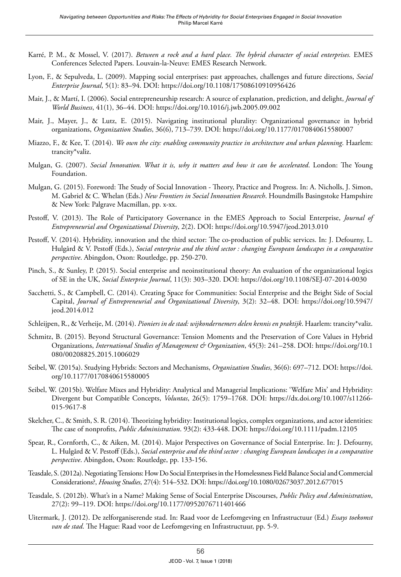- Karré, P. M., & Mossel, V. (2017). *Between a rock and a hard place. The hybrid character of social enterprises.* EMES Conferences Selected Papers. Louvain-la-Neuve: EMES Research Network.
- Lyon, F., & Sepulveda, L. (2009). Mapping social enterprises: past approaches, challenges and future directions, *Social Enterprise Journal*, 5(1): 83–94. DOI: https://doi.org/10.1108/17508610910956426
- Mair, J., & Martí, I. (2006). Social entrepreneurship research: A source of explanation, prediction, and delight, *Journal of World Business*, 41(1), 36–44. DOI: https://doi.org/10.1016/j.jwb.2005.09.002
- Mair, J., Mayer, J., & Lutz, E. (2015). Navigating institutional plurality: Organizational governance in hybrid organizations, *Organization Studies*, 36(6), 713–739. DOI: https://doi.org/10.1177/0170840615580007
- Miazzo, F., & Kee, T. (2014). *We own the city: enabling community practice in architecture and urban planning*. Haarlem: trancity\*valiz.
- Mulgan, G. (2007). *Social Innovation. What it is, why it matters and how it can be accelerated*. London: The Young Foundation.
- Mulgan, G. (2015). Foreword: The Study of Social Innovation Theory, Practice and Progress. In: A. Nicholls, J. Simon, M. Gabriel & C. Whelan (Eds.) *New Frontiers in Social Innovation Research*. Houndmills Basingstoke Hampshire & New York: Palgrave Macmillan, pp. x-xx.
- Pestoff, V. (2013). The Role of Participatory Governance in the EMES Approach to Social Enterprise, *Journal of Entrepreneurial and Organizational Diversity*, 2(2). DOI: https://doi.org/10.5947/jeod.2013.010
- Pestoff, V. (2014). Hybridity, innovation and the third sector: The co-production of public services. In: J. Defourny, L. Hulgård & V. Pestoff (Eds.), *Social enterprise and the third sector : changing European landscapes in a comparative perspective*. Abingdon, Oxon: Routledge, pp. 250-270.
- Pinch, S., & Sunley, P. (2015). Social enterprise and neoinstitutional theory: An evaluation of the organizational logics of SE in the UK, *Social Enterprise Journal*, 11(3): 303–320. DOI: https://doi.org/10.1108/SEJ-07-2014-0030
- Sacchetti, S., & Campbell, C. (2014). Creating Space for Communities: Social Enterprise and the Bright Side of Social Capital, *Journal of Entrepreneurial and Organizational Diversity*, 3(2): 32–48. DOI: [https://doi.org/10.5947/](https://doi.org/10.5947/jeod.2014.012
) [jeod.2014.012](https://doi.org/10.5947/jeod.2014.012
)
- Schleijpen, R., & Verheije, M. (2014). *Pioniers in de stad: wijkondernemers delen kennis en praktijk*. Haarlem: trancity\*valiz.
- Schmitz, B. (2015). Beyond Structural Governance: Tension Moments and the Preservation of Core Values in Hybrid Organizations, *International Studies of Management & Organization*, 45(3): 241–258. DOI: https://doi.org/10.1 080/00208825.2015.1006029
- Seibel, W. (2015a). Studying Hybrids: Sectors and Mechanisms, *Organization Studies*, 36(6): 697–712. DOI: [https://doi.](https://doi.org/10.1177/0170840615580005) [org/10.1177/0170840615580005](https://doi.org/10.1177/0170840615580005)
- Seibel, W. (2015b). Welfare Mixes and Hybridity: Analytical and Managerial Implications: 'Welfare Mix' and Hybridity: Divergent but Compatible Concepts, *Voluntas*, 26(5): 1759–1768. DOI: [https://dx.doi.org/10.1007/s11266-](https://dx.doi.org/10.1007/s11266-015-9617-8) [015-9617-8](https://dx.doi.org/10.1007/s11266-015-9617-8)
- Skelcher, C., & Smith, S. R. (2014). Theorizing hybridity: Institutional logics, complex organizations, and actor identities: The case of nonprofits, *Public Administration*. 93(2): 433-448. DOI: https://doi.org/10.1111/padm.12105
- Spear, R., Cornforth, C., & Aiken, M. (2014). Major Perspectives on Governance of Social Enterprise. In: J. Defourny, L. Hulgård & V. Pestoff (Eds.), *Social enterprise and the third sector : changing European landscapes in a comparative perspective*. Abingdon, Oxon: Routledge, pp. 133-156.
- Teasdale, S. (2012a). Negotiating Tensions: How Do Social Enterprises in the Homelessness Field Balance Social and Commercial Considerations?, *Housing Studies*, 27(4): 514–532. DOI: https://doi.org/10.1080/02673037.2012.677015
- Teasdale, S. (2012b). What's in a Name? Making Sense of Social Enterprise Discourses, *Public Policy and Administration*, 27(2): 99–119. DOI: https://doi.org/10.1177/0952076711401466
- Uitermark, J. (2012). De zelforganiserende stad. In: Raad voor de Leefomgeving en Infrastructuur (Ed.) *Essays toekomst van de stad*. The Hague: Raad voor de Leefomgeving en Infrastructuur, pp. 5-9.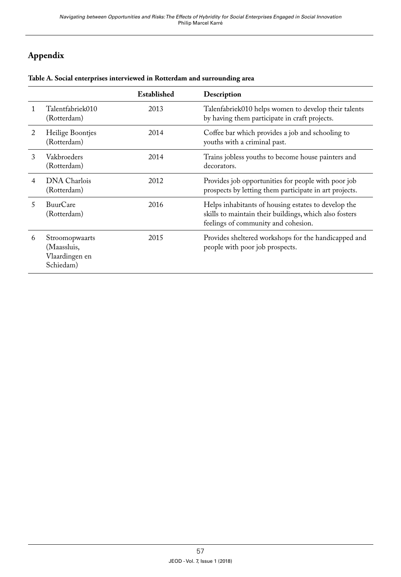# **Appendix**

|   |                                                              | Established | Description                                                                                                                                          |
|---|--------------------------------------------------------------|-------------|------------------------------------------------------------------------------------------------------------------------------------------------------|
| 1 | Talentfabriek010<br>(Rotterdam)                              | 2013        | Talenfabriek010 helps women to develop their talents<br>by having them participate in craft projects.                                                |
| 2 | Heilige Boontjes<br>(Rotterdam)                              | 2014        | Coffee bar which provides a job and schooling to<br>youths with a criminal past.                                                                     |
| 3 | Vakbroeders<br>(Rotterdam)                                   | 2014        | Trains jobless youths to become house painters and<br>decorators.                                                                                    |
| 4 | DNA Charlois<br>(Rotterdam)                                  | 2012        | Provides job opportunities for people with poor job<br>prospects by letting them participate in art projects.                                        |
| 5 | <b>BuurCare</b><br>(Rotterdam)                               | 2016        | Helps inhabitants of housing estates to develop the<br>skills to maintain their buildings, which also fosters<br>feelings of community and cohesion. |
| 6 | Stroomopwaarts<br>(Maassluis,<br>Vlaardingen en<br>Schiedam) | 2015        | Provides sheltered workshops for the handicapped and<br>people with poor job prospects.                                                              |

#### **Table A. Social enterprises interviewed in Rotterdam and surrounding area**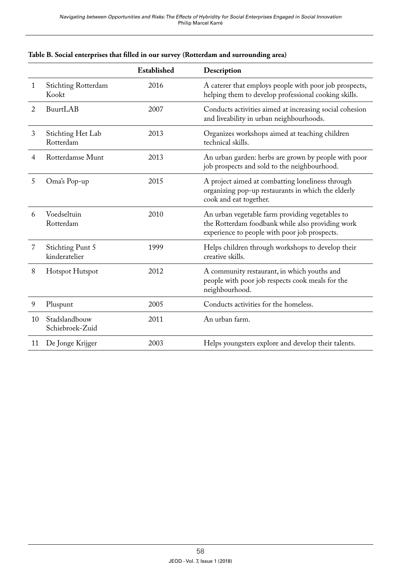|    |                                     | Established | Description                                                                                                                                          |
|----|-------------------------------------|-------------|------------------------------------------------------------------------------------------------------------------------------------------------------|
| 1  | <b>Stichting Rotterdam</b><br>Kookt | 2016        | A caterer that employs people with poor job prospects,<br>helping them to develop professional cooking skills.                                       |
| 2  | BuurtLAB                            | 2007        | Conducts activities aimed at increasing social cohesion<br>and liveability in urban neighbourhoods.                                                  |
| 3  | Stichting Het Lab<br>Rotterdam      | 2013        | Organizes workshops aimed at teaching children<br>technical skills.                                                                                  |
| 4  | Rotterdamse Munt                    | 2013        | An urban garden: herbs are grown by people with poor<br>job prospects and sold to the neighbourhood.                                                 |
| 5  | Oma's Pop-up                        | 2015        | A project aimed at combatting loneliness through<br>organizing pop-up restaurants in which the elderly<br>cook and eat together.                     |
| 6  | Voedseltuin<br>Rotterdam            | 2010        | An urban vegetable farm providing vegetables to<br>the Rotterdam foodbank while also providing work<br>experience to people with poor job prospects. |
| 7  | Stichting Punt 5<br>kinderatelier   | 1999        | Helps children through workshops to develop their<br>creative skills.                                                                                |
| 8  | Hotspot Hutspot                     | 2012        | A community restaurant, in which youths and<br>people with poor job respects cook meals for the<br>neighbourhood.                                    |
| 9  | Pluspunt                            | 2005        | Conducts activities for the homeless.                                                                                                                |
| 10 | Stadslandbouw<br>Schiebroek-Zuid    | 2011        | An urban farm.                                                                                                                                       |
| 11 | De Jonge Krijger                    | 2003        | Helps youngsters explore and develop their talents.                                                                                                  |

#### **Table B. Social enterprises that filled in our survey (Rotterdam and surrounding area)**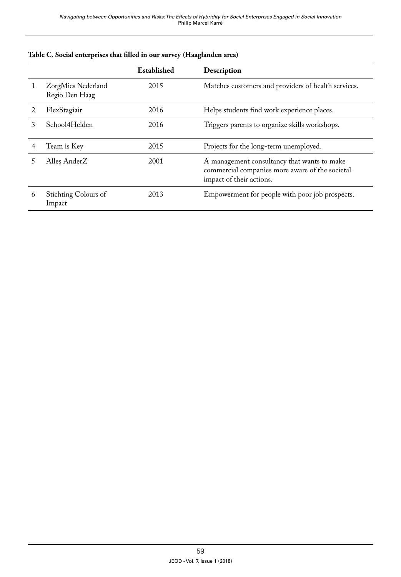|   |                                      | Established | Description                                                                                                                |
|---|--------------------------------------|-------------|----------------------------------------------------------------------------------------------------------------------------|
|   | ZorgMies Nederland<br>Regio Den Haag | 2015        | Matches customers and providers of health services.                                                                        |
|   | FlexStagiair                         | 2016        | Helps students find work experience places.                                                                                |
| 3 | School4Helden                        | 2016        | Triggers parents to organize skills workshops.                                                                             |
|   | Team is Key                          | 2015        | Projects for the long-term unemployed.                                                                                     |
|   | Alles AnderZ                         | 2001        | A management consultancy that wants to make<br>commercial companies more aware of the societal<br>impact of their actions. |
| 6 | Stichting Colours of<br>Impact       | 2013        | Empowerment for people with poor job prospects.                                                                            |

|  |  |  |  | Table C. Social enterprises that filled in our survey (Haaglanden area) |
|--|--|--|--|-------------------------------------------------------------------------|
|--|--|--|--|-------------------------------------------------------------------------|